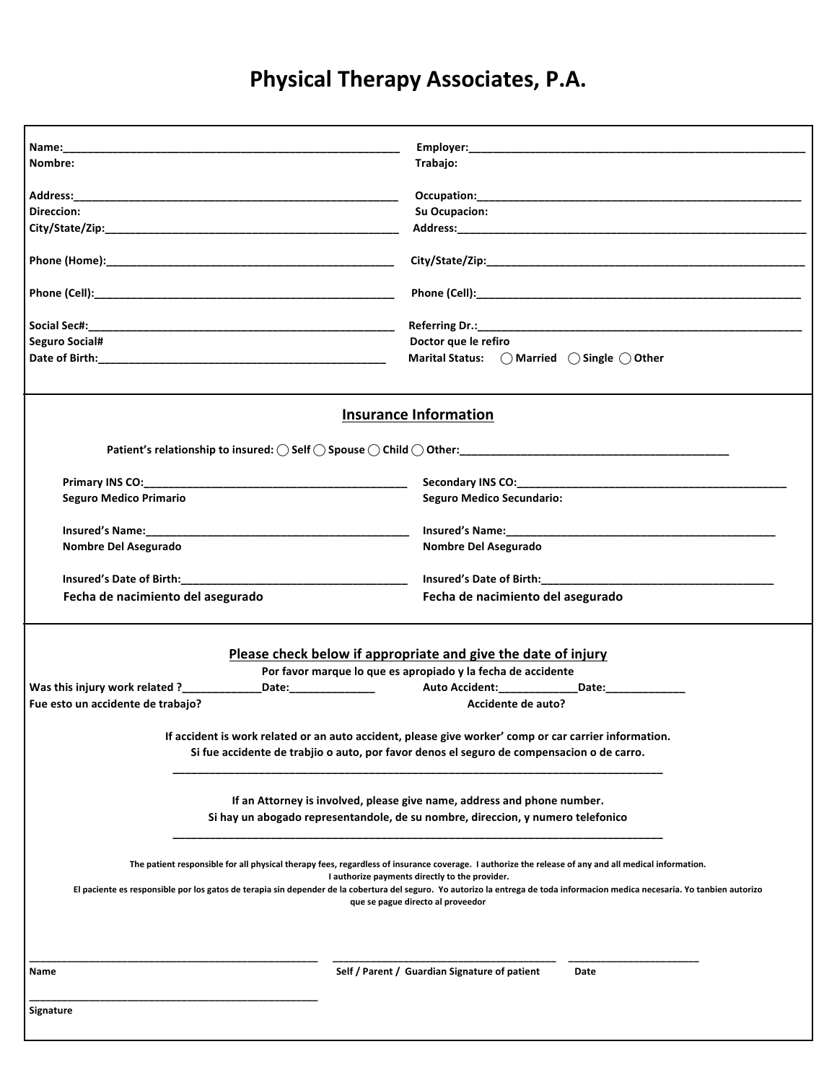# **Physical Therapy Associates, P.A.**

| Name: when the contract of the contract of the contract of the contract of the contract of the contract of the contract of the contract of the contract of the contract of the contract of the contract of the contract of the                                                                                                                                                                                               |                                                                                                                   |
|------------------------------------------------------------------------------------------------------------------------------------------------------------------------------------------------------------------------------------------------------------------------------------------------------------------------------------------------------------------------------------------------------------------------------|-------------------------------------------------------------------------------------------------------------------|
| Nombre:                                                                                                                                                                                                                                                                                                                                                                                                                      | Trabajo:                                                                                                          |
|                                                                                                                                                                                                                                                                                                                                                                                                                              |                                                                                                                   |
|                                                                                                                                                                                                                                                                                                                                                                                                                              |                                                                                                                   |
| Direccion:                                                                                                                                                                                                                                                                                                                                                                                                                   | <b>Su Ocupacion:</b>                                                                                              |
|                                                                                                                                                                                                                                                                                                                                                                                                                              |                                                                                                                   |
|                                                                                                                                                                                                                                                                                                                                                                                                                              |                                                                                                                   |
|                                                                                                                                                                                                                                                                                                                                                                                                                              |                                                                                                                   |
|                                                                                                                                                                                                                                                                                                                                                                                                                              |                                                                                                                   |
| <b>Seguro Social#</b>                                                                                                                                                                                                                                                                                                                                                                                                        | Doctor que le refiro                                                                                              |
|                                                                                                                                                                                                                                                                                                                                                                                                                              | Marital Status: ○ Married ○ Single ○ Other                                                                        |
| <b>Insurance Information</b>                                                                                                                                                                                                                                                                                                                                                                                                 |                                                                                                                   |
|                                                                                                                                                                                                                                                                                                                                                                                                                              |                                                                                                                   |
|                                                                                                                                                                                                                                                                                                                                                                                                                              | Secondary INS CO: Secondary INS CO:                                                                               |
| <b>Seguro Medico Primario</b>                                                                                                                                                                                                                                                                                                                                                                                                | <b>Seguro Medico Secundario:</b>                                                                                  |
|                                                                                                                                                                                                                                                                                                                                                                                                                              |                                                                                                                   |
|                                                                                                                                                                                                                                                                                                                                                                                                                              |                                                                                                                   |
| Nombre Del Asegurado                                                                                                                                                                                                                                                                                                                                                                                                         | Nombre Del Asegurado                                                                                              |
|                                                                                                                                                                                                                                                                                                                                                                                                                              | Insured's Date of Birth:_____________                                                                             |
| Fecha de nacimiento del asegurado                                                                                                                                                                                                                                                                                                                                                                                            | Fecha de nacimiento del asegurado                                                                                 |
| Please check below if appropriate and give the date of injury                                                                                                                                                                                                                                                                                                                                                                |                                                                                                                   |
|                                                                                                                                                                                                                                                                                                                                                                                                                              | Por favor marque lo que es apropiado y la fecha de accidente                                                      |
|                                                                                                                                                                                                                                                                                                                                                                                                                              | Was this injury work related ?_____________Date:________________    Auto Accident:_____________Date:_____________ |
| Fue esto un accidente de trabajo?                                                                                                                                                                                                                                                                                                                                                                                            | Accidente de auto?                                                                                                |
| If accident is work related or an auto accident, please give worker' comp or car carrier information.<br>Si fue accidente de trabjio o auto, por favor denos el seguro de compensacion o de carro.                                                                                                                                                                                                                           |                                                                                                                   |
| If an Attorney is involved, please give name, address and phone number.<br>Si hay un abogado representandole, de su nombre, direccion, y numero telefonico                                                                                                                                                                                                                                                                   |                                                                                                                   |
| The patient responsible for all physical therapy fees, regardless of insurance coverage. I authorize the release of any and all medical information.<br>I authorize payments directly to the provider.<br>El paciente es responsible por los gatos de terapia sin depender de la cobertura del seguro. Yo autorizo la entrega de toda informacion medica necesaria. Yo tanbien autorizo<br>que se pague directo al proveedor |                                                                                                                   |
| Name                                                                                                                                                                                                                                                                                                                                                                                                                         | Self / Parent / Guardian Signature of patient<br>Date                                                             |
| <b>Signature</b>                                                                                                                                                                                                                                                                                                                                                                                                             |                                                                                                                   |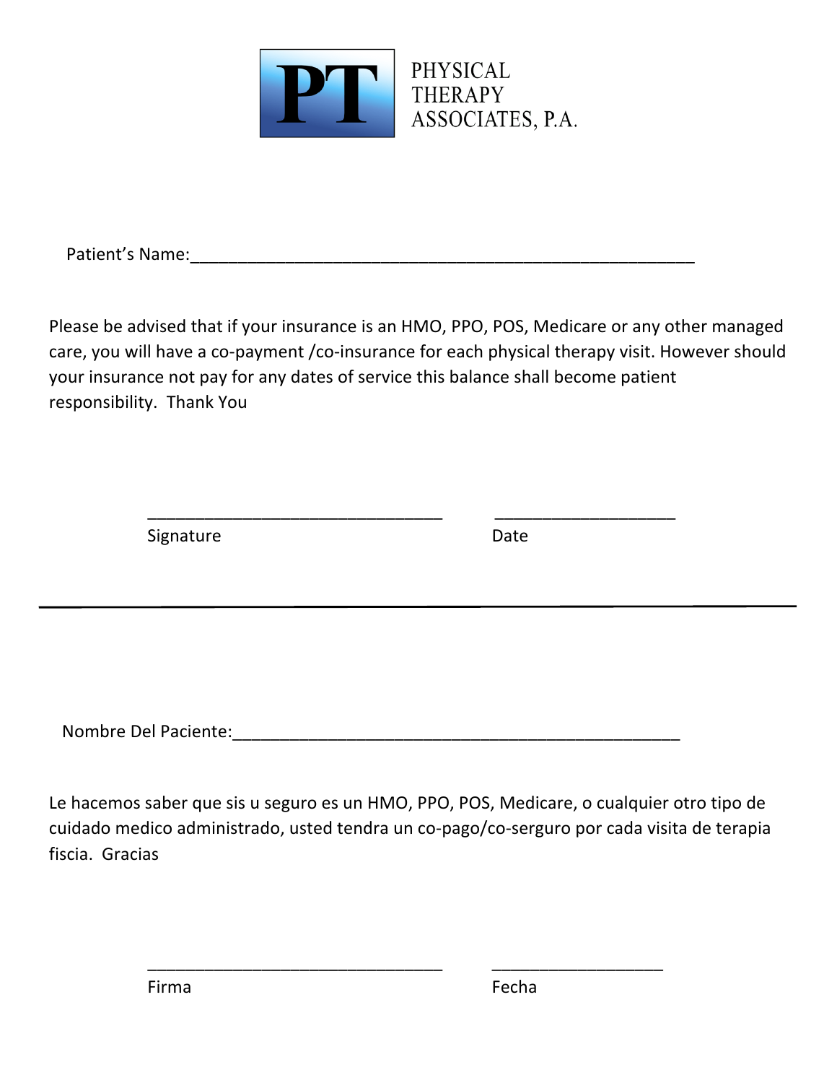

Patient's Name: <u>and the set of the set of the set of the set of the set of the set of the set of the set of the set of the set of the set of the set of the set of the set of the set of the set of the set of the set of the</u>

Please be advised that if your insurance is an HMO, PPO, POS, Medicare or any other managed care, you will have a co-payment /co-insurance for each physical therapy visit. However should your insurance not pay for any dates of service this balance shall become patient responsibility. Thank You

\_\_\_\_\_\_\_\_\_\_\_\_\_\_\_\_\_\_\_\_\_\_\_\_\_\_\_\_\_\_\_ \_\_\_\_\_\_\_\_\_\_\_\_\_\_\_\_\_\_\_

Signature Date

Nombre Del Paciente: et al. 2008 and 2008 and 2008 and 2008 and 2008 and 2008 and 2008 and 2008 and 2008 and 20

Le hacemos saber que sis u seguro es un HMO, PPO, POS, Medicare, o cualquier otro tipo de cuidado medico administrado, usted tendra un co-pago/co-serguro por cada visita de terapia fiscia. Gracias

\_\_\_\_\_\_\_\_\_\_\_\_\_\_\_\_\_\_\_\_\_\_\_\_\_\_\_\_\_\_\_ \_\_\_\_\_\_\_\_\_\_\_\_\_\_\_\_\_\_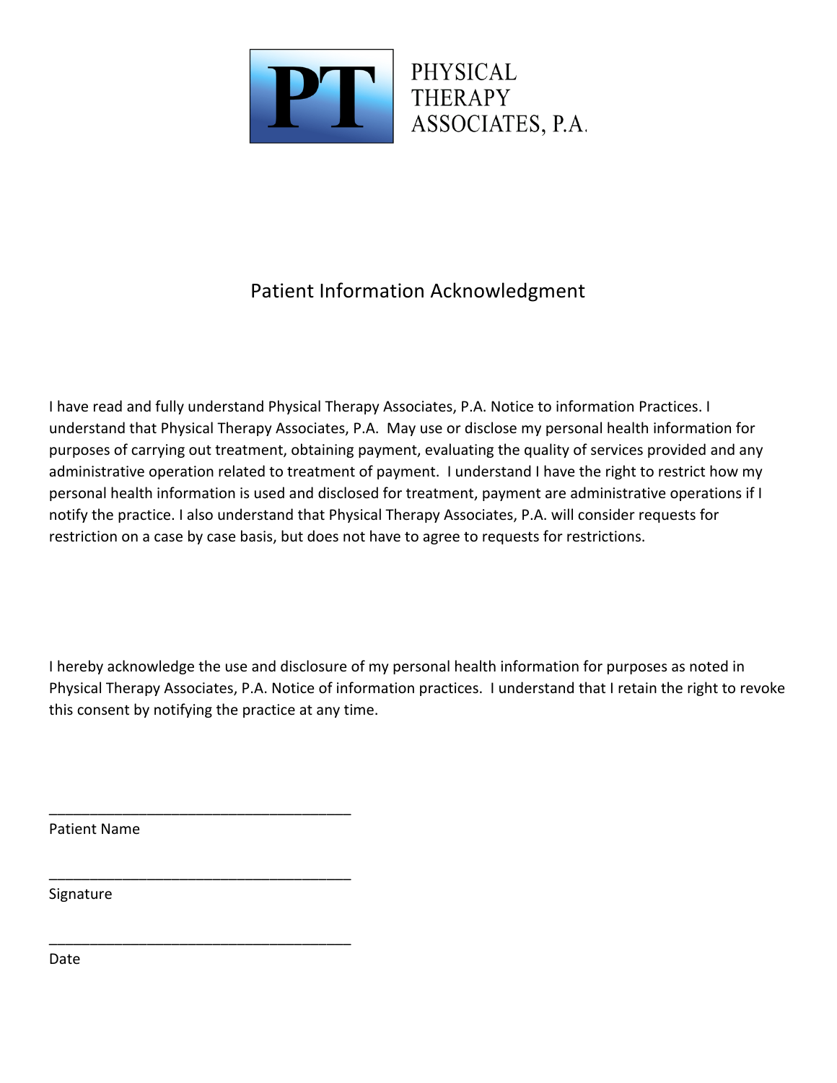

## Patient Information Acknowledgment

I have read and fully understand Physical Therapy Associates, P.A. Notice to information Practices. I understand that Physical Therapy Associates, P.A. May use or disclose my personal health information for purposes of carrying out treatment, obtaining payment, evaluating the quality of services provided and any administrative operation related to treatment of payment. I understand I have the right to restrict how my personal health information is used and disclosed for treatment, payment are administrative operations if I notify the practice. I also understand that Physical Therapy Associates, P.A. will consider requests for restriction on a case by case basis, but does not have to agree to requests for restrictions.

I hereby acknowledge the use and disclosure of my personal health information for purposes as noted in Physical Therapy Associates, P.A. Notice of information practices. I understand that I retain the right to revoke this consent by notifying the practice at any time.

Patient Name

\_\_\_\_\_\_\_\_\_\_\_\_\_\_\_\_\_\_\_\_\_\_\_\_\_\_\_\_\_\_\_\_\_\_\_\_\_

\_\_\_\_\_\_\_\_\_\_\_\_\_\_\_\_\_\_\_\_\_\_\_\_\_\_\_\_\_\_\_\_\_\_\_\_\_

\_\_\_\_\_\_\_\_\_\_\_\_\_\_\_\_\_\_\_\_\_\_\_\_\_\_\_\_\_\_\_\_\_\_\_\_\_

Signature 

Date